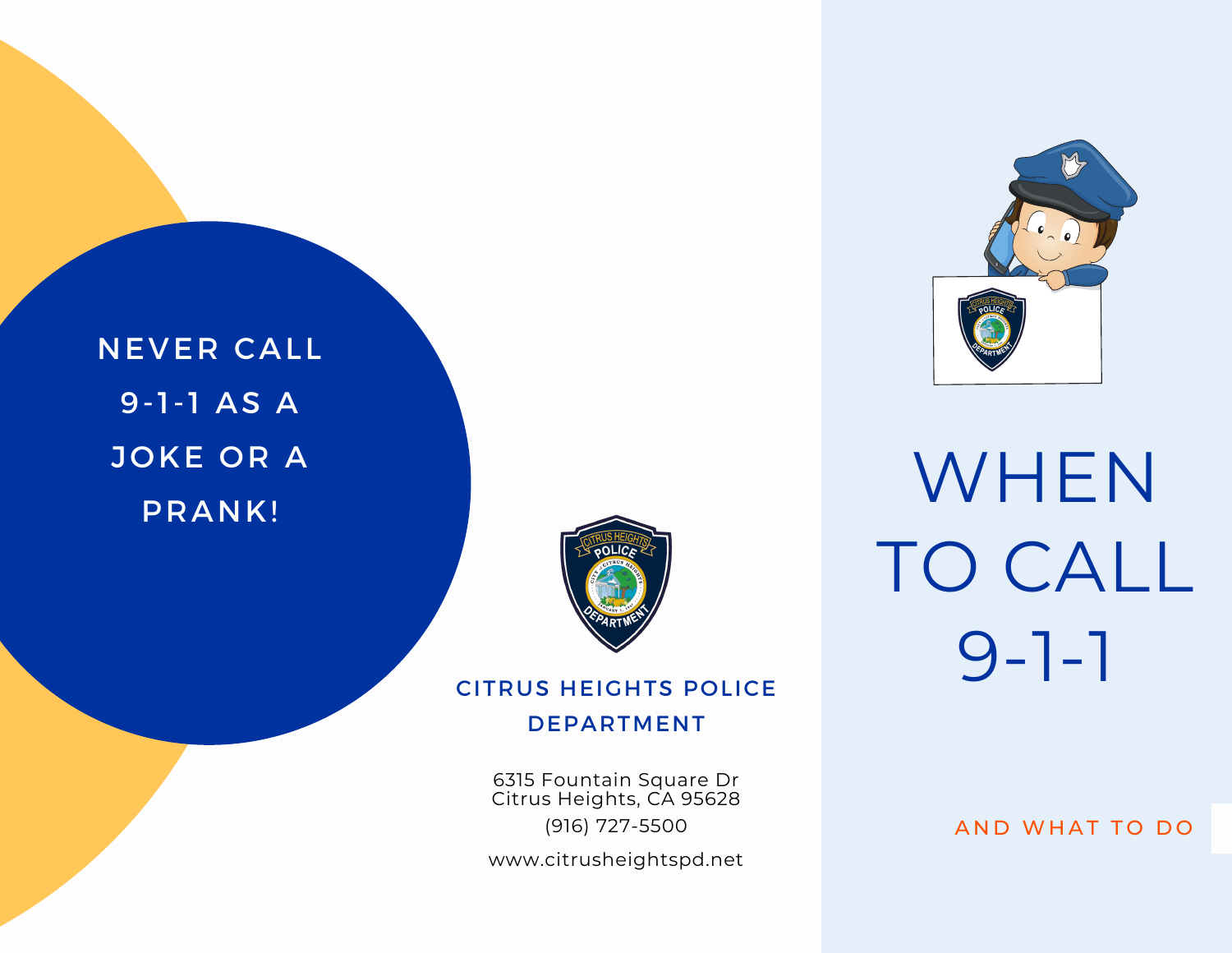WHEN TO CALL 9-1-1

NEVER CALL 9-1-1 AS A JOKE OR A PRANK!



# CITRUS HEIGHTS POLICE

#### DEPARTMENT

6315 Fountain Square Dr Citrus Heights, CA 95628 (916) 727-5500

www.citrusheightspd.net

AND WHAT TO DO